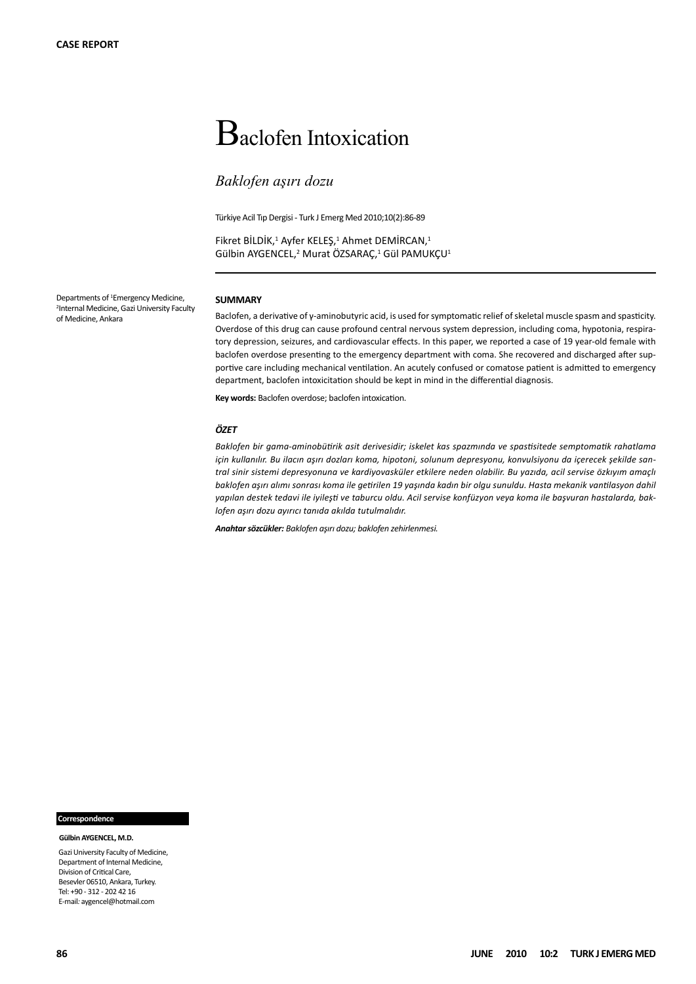# Baclofen Intoxication

# *Baklofen aşırı dozu*

Türkiye Acil Tıp Dergisi - Turk J Emerg Med 2010;10(2):86-89

Fikret BİLDİK,<sup>1</sup> Ayfer KELEŞ,<sup>1</sup> Ahmet DEMİRCAN,<sup>1</sup> Gülbin AYGENCEL,<sup>2</sup> Murat ÖZSARAÇ,<sup>1</sup> Gül PAMUKÇU<sup>1</sup>

Departments of <sup>1</sup>Emergency Medicine, 2 Internal Medicine, Gazi University Faculty of Medicine, Ankara

#### **SUMMARY**

Baclofen, a derivative of y-aminobutyric acid, is used for symptomatic relief of skeletal muscle spasm and spasticity. Overdose of this drug can cause profound central nervous system depression, including coma, hypotonia, respiratory depression, seizures, and cardiovascular effects. In this paper, we reported a case of 19 year-old female with baclofen overdose presenting to the emergency department with coma. She recovered and discharged after supportive care including mechanical ventilation. An acutely confused or comatose patient is admitted to emergency department, baclofen intoxicitation should be kept in mind in the differential diagnosis.

**Key words:** Baclofen overdose; baclofen intoxication.

#### *ÖZET*

*Baklofen bir gama-aminobütirik asit derivesidir; iskelet kas spazmında ve spastisitede semptomatik rahatlama için kullanılır. Bu ilacın aşırı dozları koma, hipotoni, solunum depresyonu, konvulsiyonu da içerecek şekilde santral sinir sistemi depresyonuna ve kardiyovasküler etkilere neden olabilir. Bu yazıda, acil servise özkıyım amaçlı baklofen aşırı alımı sonrası koma ile getirilen 19 yaşında kadın bir olgu sunuldu. Hasta mekanik vantilasyon dahil yapılan destek tedavi ile iyileşti ve taburcu oldu. Acil servise konfüzyon veya koma ile başvuran hastalarda, baklofen aşırı dozu ayırıcı tanıda akılda tutulmalıdır.* 

*Anahtar sözcükler: Baklofen aşırı dozu; baklofen zehirlenmesi.*

#### **Correspondence**

 **Gülbin AYGENCEL, M.D.**

Gazi University Faculty of Medicine, Department of Internal Medicine, Division of Critical Care, Besevler 06510, Ankara, Turkey. Tel: +90 - 312 - 202 42 16 E-mail*:* aygencel@hotmail.com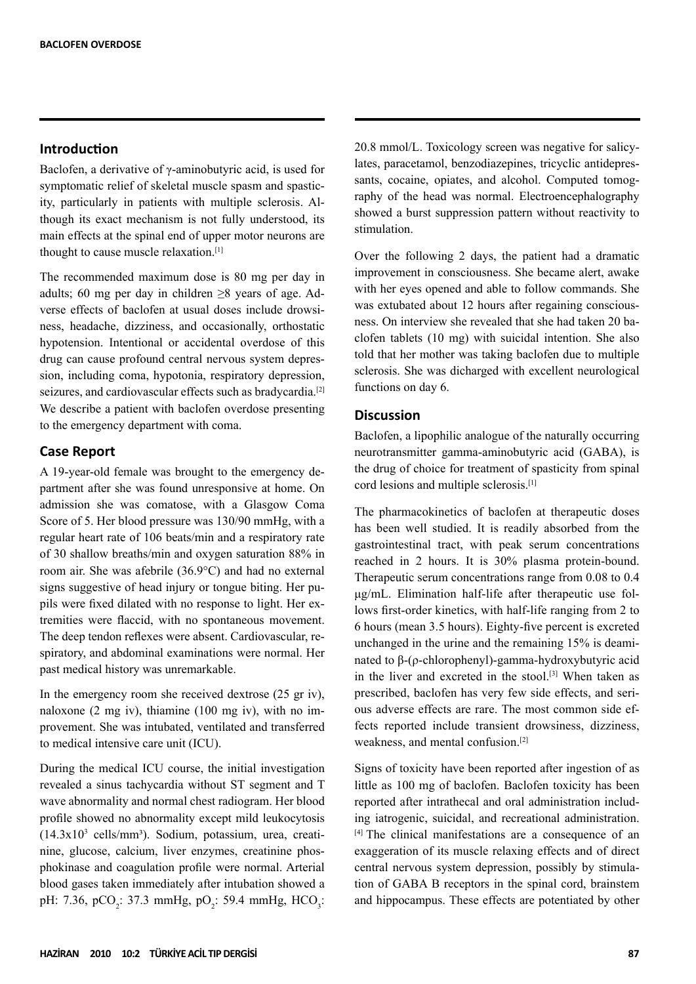## **Introduction**

Baclofen, a derivative of γ-aminobutyric acid, is used for symptomatic relief of skeletal muscle spasm and spasticity, particularly in patients with multiple sclerosis. Although its exact mechanism is not fully understood, its main effects at the spinal end of upper motor neurons are thought to cause muscle relaxation.[1]

The recommended maximum dose is 80 mg per day in adults; 60 mg per day in children  $\geq 8$  years of age. Adverse effects of baclofen at usual doses include drowsiness, headache, dizziness, and occasionally, orthostatic hypotension. Intentional or accidental overdose of this drug can cause profound central nervous system depression, including coma, hypotonia, respiratory depression, seizures, and cardiovascular effects such as bradycardia.<sup>[2]</sup> We describe a patient with baclofen overdose presenting to the emergency department with coma.

### **Case Report**

A 19-year-old female was brought to the emergency department after she was found unresponsive at home. On admission she was comatose, with a Glasgow Coma Score of 5. Her blood pressure was 130/90 mmHg, with a regular heart rate of 106 beats/min and a respiratory rate of 30 shallow breaths/min and oxygen saturation 88% in room air. She was afebrile (36.9°C) and had no external signs suggestive of head injury or tongue biting. Her pupils were fixed dilated with no response to light. Her extremities were flaccid, with no spontaneous movement. The deep tendon reflexes were absent. Cardiovascular, respiratory, and abdominal examinations were normal. Her past medical history was unremarkable.

In the emergency room she received dextrose (25 gr iv), naloxone (2 mg iv), thiamine (100 mg iv), with no improvement. She was intubated, ventilated and transferred to medical intensive care unit (ICU).

During the medical ICU course, the initial investigation revealed a sinus tachycardia without ST segment and T wave abnormality and normal chest radiogram. Her blood profile showed no abnormality except mild leukocytosis  $(14.3x10<sup>3</sup>$  cells/mm<sup>3</sup>). Sodium, potassium, urea, creatinine, glucose, calcium, liver enzymes, creatinine phosphokinase and coagulation profile were normal. Arterial blood gases taken immediately after intubation showed a pH: 7.36, pCO<sub>2</sub>: 37.3 mmHg, pO<sub>2</sub>: 59.4 mmHg, HCO<sub>3</sub>: 20.8 mmol/L. Toxicology screen was negative for salicylates, paracetamol, benzodiazepines, tricyclic antidepressants, cocaine, opiates, and alcohol. Computed tomography of the head was normal. Electroencephalography showed a burst suppression pattern without reactivity to stimulation.

Over the following 2 days, the patient had a dramatic improvement in consciousness. She became alert, awake with her eyes opened and able to follow commands. She was extubated about 12 hours after regaining consciousness. On interview she revealed that she had taken 20 baclofen tablets (10 mg) with suicidal intention. She also told that her mother was taking baclofen due to multiple sclerosis. She was dicharged with excellent neurological functions on day 6.

# **Discussion**

Baclofen, a lipophilic analogue of the naturally occurring neurotransmitter gamma-aminobutyric acid (GABA), is the drug of choice for treatment of spasticity from spinal cord lesions and multiple sclerosis.[1]

The pharmacokinetics of baclofen at therapeutic doses has been well studied. It is readily absorbed from the gastrointestinal tract, with peak serum concentrations reached in 2 hours. It is 30% plasma protein-bound. Therapeutic serum concentrations range from 0.08 to 0.4 μg/mL. Elimination half-life after therapeutic use follows first-order kinetics, with half-life ranging from 2 to 6 hours (mean 3.5 hours). Eighty-five percent is excreted unchanged in the urine and the remaining 15% is deaminated to β-(ρ-chlorophenyl)-gamma-hydroxybutyric acid in the liver and excreted in the stool.[3] When taken as prescribed, baclofen has very few side effects, and serious adverse effects are rare. The most common side effects reported include transient drowsiness, dizziness, weakness, and mental confusion.[2]

Signs of toxicity have been reported after ingestion of as little as 100 mg of baclofen. Baclofen toxicity has been reported after intrathecal and oral administration including iatrogenic, suicidal, and recreational administration. [4] The clinical manifestations are a consequence of an exaggeration of its muscle relaxing effects and of direct central nervous system depression, possibly by stimulation of GABA B receptors in the spinal cord, brainstem and hippocampus. These effects are potentiated by other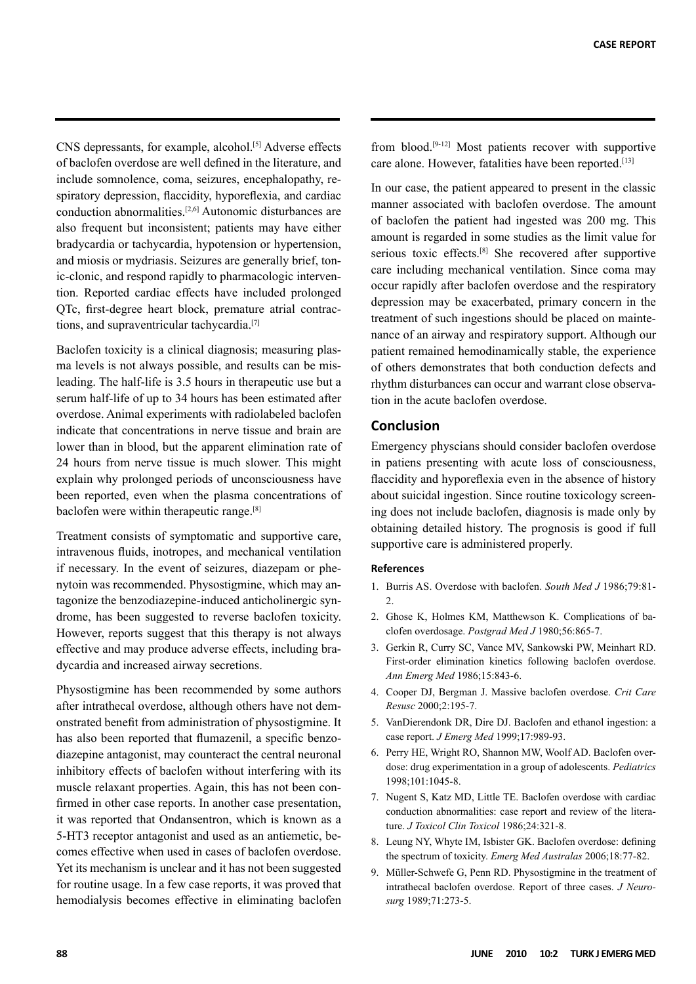CNS depressants, for example, alcohol.<sup>[5]</sup> Adverse effects of baclofen overdose are well defined in the literature, and include somnolence, coma, seizures, encephalopathy, respiratory depression, flaccidity, hyporeflexia, and cardiac conduction abnormalities.[2,6] Autonomic disturbances are also frequent but inconsistent; patients may have either bradycardia or tachycardia, hypotension or hypertension, and miosis or mydriasis. Seizures are generally brief, tonic-clonic, and respond rapidly to pharmacologic intervention. Reported cardiac effects have included prolonged QTc, first-degree heart block, premature atrial contractions, and supraventricular tachycardia.[7]

Baclofen toxicity is a clinical diagnosis; measuring plasma levels is not always possible, and results can be misleading. The half-life is 3.5 hours in therapeutic use but a serum half-life of up to 34 hours has been estimated after overdose. Animal experiments with radiolabeled baclofen indicate that concentrations in nerve tissue and brain are lower than in blood, but the apparent elimination rate of 24 hours from nerve tissue is much slower. This might explain why prolonged periods of unconsciousness have been reported, even when the plasma concentrations of baclofen were within therapeutic range.[8]

Treatment consists of symptomatic and supportive care, intravenous fluids, inotropes, and mechanical ventilation if necessary. In the event of seizures, diazepam or phenytoin was recommended. Physostigmine, which may antagonize the benzodiazepine-induced anticholinergic syndrome, has been suggested to reverse baclofen toxicity. However, reports suggest that this therapy is not always effective and may produce adverse effects, including bradycardia and increased airway secretions.

Physostigmine has been recommended by some authors after intrathecal overdose, although others have not demonstrated benefit from administration of physostigmine. It has also been reported that flumazenil, a specific benzodiazepine antagonist, may counteract the central neuronal inhibitory effects of baclofen without interfering with its muscle relaxant properties. Again, this has not been confirmed in other case reports. In another case presentation, it was reported that Ondansentron, which is known as a 5-HT3 receptor antagonist and used as an antiemetic, becomes effective when used in cases of baclofen overdose. Yet its mechanism is unclear and it has not been suggested for routine usage. In a few case reports, it was proved that hemodialysis becomes effective in eliminating baclofen from blood.[9-12] Most patients recover with supportive care alone. However, fatalities have been reported.[13]

In our case, the patient appeared to present in the classic manner associated with baclofen overdose. The amount of baclofen the patient had ingested was 200 mg. This amount is regarded in some studies as the limit value for serious toxic effects.[8] She recovered after supportive care including mechanical ventilation. Since coma may occur rapidly after baclofen overdose and the respiratory depression may be exacerbated, primary concern in the treatment of such ingestions should be placed on maintenance of an airway and respiratory support. Although our patient remained hemodinamically stable, the experience of others demonstrates that both conduction defects and rhythm disturbances can occur and warrant close observation in the acute baclofen overdose.

#### **Conclusion**

Emergency physcians should consider baclofen overdose in patiens presenting with acute loss of consciousness, flaccidity and hyporeflexia even in the absence of history about suicidal ingestion. Since routine toxicology screening does not include baclofen, diagnosis is made only by obtaining detailed history. The prognosis is good if full supportive care is administered properly.

#### **References**

- 1. Burris AS. Overdose with baclofen. *South Med J* 1986;79:81-  $\mathfrak{D}$
- 2. Ghose K, Holmes KM, Matthewson K. Complications of baclofen overdosage. *Postgrad Med J* 1980;56:865-7.
- 3. Gerkin R, Curry SC, Vance MV, Sankowski PW, Meinhart RD. First-order elimination kinetics following baclofen overdose. *Ann Emerg Med* 1986;15:843-6.
- 4. Cooper DJ, Bergman J. Massive baclofen overdose. *Crit Care Resusc* 2000;2:195-7.
- 5. VanDierendonk DR, Dire DJ. Baclofen and ethanol ingestion: a case report. *J Emerg Med* 1999;17:989-93.
- 6. Perry HE, Wright RO, Shannon MW, Woolf AD. Baclofen overdose: drug experimentation in a group of adolescents. *Pediatrics* 1998;101:1045-8.
- 7. Nugent S, Katz MD, Little TE. Baclofen overdose with cardiac conduction abnormalities: case report and review of the literature. *J Toxicol Clin Toxicol* 1986;24:321-8.
- 8. Leung NY, Whyte IM, Isbister GK. Baclofen overdose: defining the spectrum of toxicity. *Emerg Med Australas* 2006;18:77-82.
- 9. Müller-Schwefe G, Penn RD. Physostigmine in the treatment of intrathecal baclofen overdose. Report of three cases. *J Neurosurg* 1989;71:273-5.